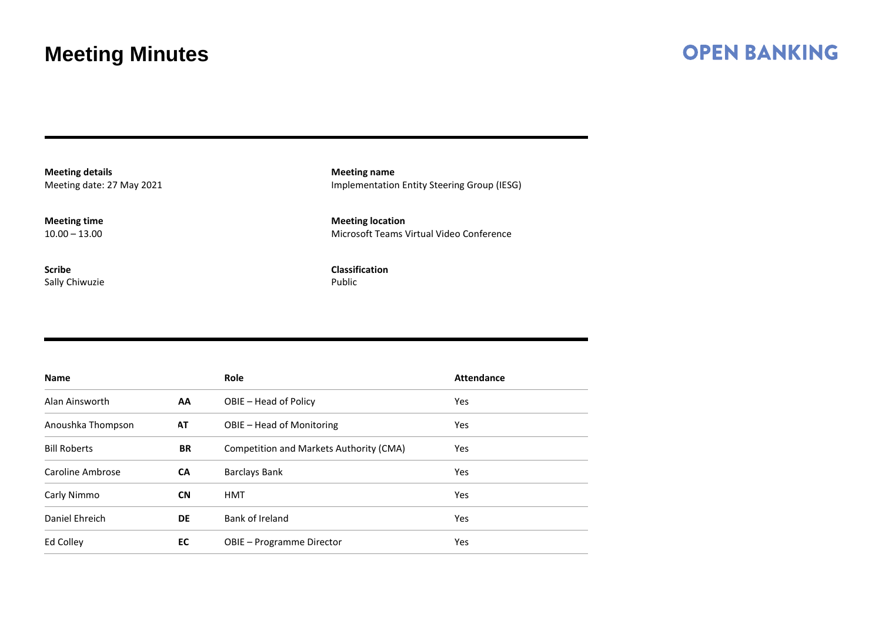### **OPEN BANKING**

**Meeting details** Meeting date: 27 May 2021

**Meeting time** 10.00 – 13.00

**Scribe** Sally Chiwuzie

**Meeting name** Implementation Entity Steering Group (IESG)

**Meeting location** Microsoft Teams Virtual Video Conference

**Classification** Public

| <b>Name</b>         |           | <b>Role</b>                             | <b>Attendance</b> |  |
|---------------------|-----------|-----------------------------------------|-------------------|--|
| Alan Ainsworth      | <b>AA</b> | OBIE - Head of Policy                   | Yes               |  |
| Anoushka Thompson   | AT        | OBIE – Head of Monitoring               | Yes               |  |
| <b>Bill Roberts</b> | <b>BR</b> | Competition and Markets Authority (CMA) | Yes               |  |
| Caroline Ambrose    | CA        | <b>Barclays Bank</b>                    | Yes               |  |
| Carly Nimmo         | <b>CN</b> | <b>HMT</b>                              | Yes               |  |
| Daniel Ehreich      | DE        | Bank of Ireland                         | Yes               |  |
| Ed Colley           | EC        | OBIE - Programme Director               | Yes               |  |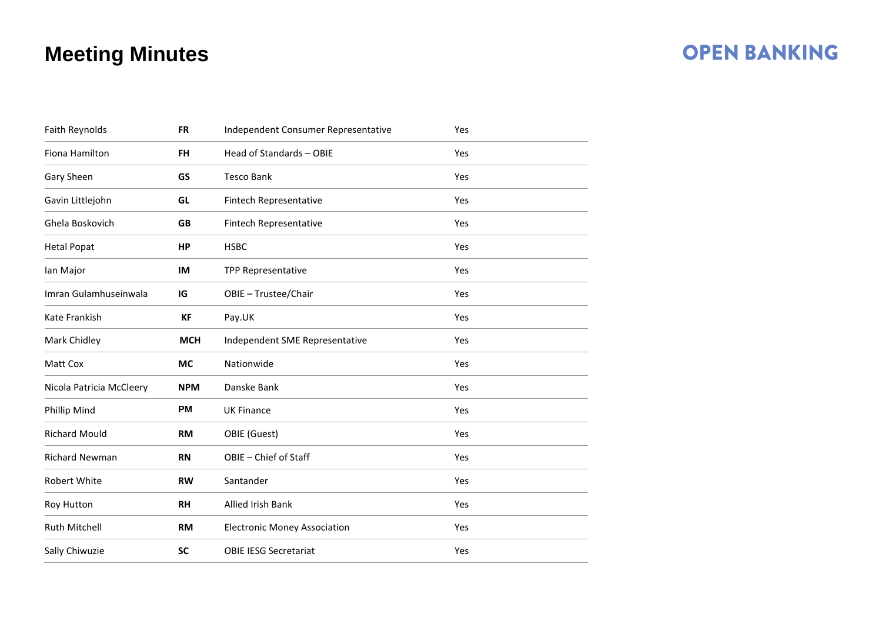### **OPEN BANKING**

| Faith Reynolds           | <b>FR</b>  | Independent Consumer Representative | Yes |  |
|--------------------------|------------|-------------------------------------|-----|--|
| Fiona Hamilton           | <b>FH</b>  | Head of Standards - OBIE            | Yes |  |
| Gary Sheen               | GS         | <b>Tesco Bank</b>                   | Yes |  |
| Gavin Littlejohn         | GL         | Fintech Representative              | Yes |  |
| Ghela Boskovich          | <b>GB</b>  | Fintech Representative              | Yes |  |
| <b>Hetal Popat</b>       | HP         | <b>HSBC</b>                         | Yes |  |
| lan Major                | IM         | <b>TPP Representative</b>           | Yes |  |
| Imran Gulamhuseinwala    | IG         | OBIE - Trustee/Chair                | Yes |  |
| Kate Frankish            | <b>KF</b>  | Pay.UK                              | Yes |  |
| Mark Chidley             | <b>MCH</b> | Independent SME Representative      | Yes |  |
| Matt Cox                 | <b>MC</b>  | Nationwide                          | Yes |  |
| Nicola Patricia McCleery | <b>NPM</b> | Danske Bank                         | Yes |  |
| Phillip Mind             | <b>PM</b>  | <b>UK Finance</b>                   | Yes |  |
| <b>Richard Mould</b>     | <b>RM</b>  | OBIE (Guest)                        | Yes |  |
| <b>Richard Newman</b>    | <b>RN</b>  | OBIE - Chief of Staff               | Yes |  |
| Robert White             | <b>RW</b>  | Santander                           | Yes |  |
| Roy Hutton               | <b>RH</b>  | <b>Allied Irish Bank</b>            | Yes |  |
| <b>Ruth Mitchell</b>     | <b>RM</b>  | <b>Electronic Money Association</b> | Yes |  |
| Sally Chiwuzie           | <b>SC</b>  | <b>OBIE IESG Secretariat</b>        | Yes |  |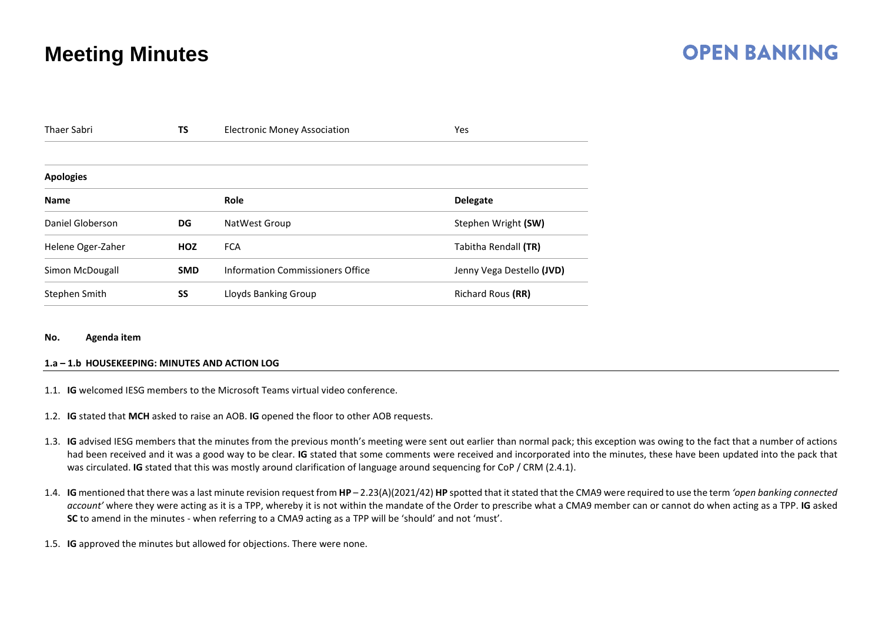### **OPEN BANKING**

| <b>TS</b><br><b>Thaer Sabri</b> |            | <b>Electronic Money Association</b> | Yes                       |
|---------------------------------|------------|-------------------------------------|---------------------------|
|                                 |            |                                     |                           |
| <b>Apologies</b>                |            |                                     |                           |
| <b>Name</b>                     |            | Role                                | <b>Delegate</b>           |
| Daniel Globerson                | DG         | NatWest Group                       | Stephen Wright (SW)       |
| Helene Oger-Zaher               | <b>HOZ</b> | <b>FCA</b>                          | Tabitha Rendall (TR)      |
| Simon McDougall                 | <b>SMD</b> | Information Commissioners Office    | Jenny Vega Destello (JVD) |
| Stephen Smith                   | SS         | Lloyds Banking Group                | Richard Rous (RR)         |

#### **No. Agenda item**

#### **1.a – 1.b HOUSEKEEPING: MINUTES AND ACTION LOG**

- 1.1. **IG** welcomed IESG members to the Microsoft Teams virtual video conference.
- 1.2. **IG** stated that **MCH** asked to raise an AOB. **IG** opened the floor to other AOB requests.
- 1.3. **IG** advised IESG members that the minutes from the previous month's meeting were sent out earlier than normal pack; this exception was owing to the fact that a number of actions had been received and it was a good way to be clear. **IG** stated that some comments were received and incorporated into the minutes, these have been updated into the pack that was circulated. **IG** stated that this was mostly around clarification of language around sequencing for CoP / CRM (2.4.1).
- 1.4. **IG** mentioned that there was a last minute revision request from **HP** 2.23(A)(2021/42) **HP** spotted that it stated that the CMA9 were required to use the term *'open banking connected account'* where they were acting as it is a TPP, whereby it is not within the mandate of the Order to prescribe what a CMA9 member can or cannot do when acting as a TPP. **IG** asked **SC** to amend in the minutes - when referring to a CMA9 acting as a TPP will be 'should' and not 'must'.
- 1.5. **IG** approved the minutes but allowed for objections. There were none.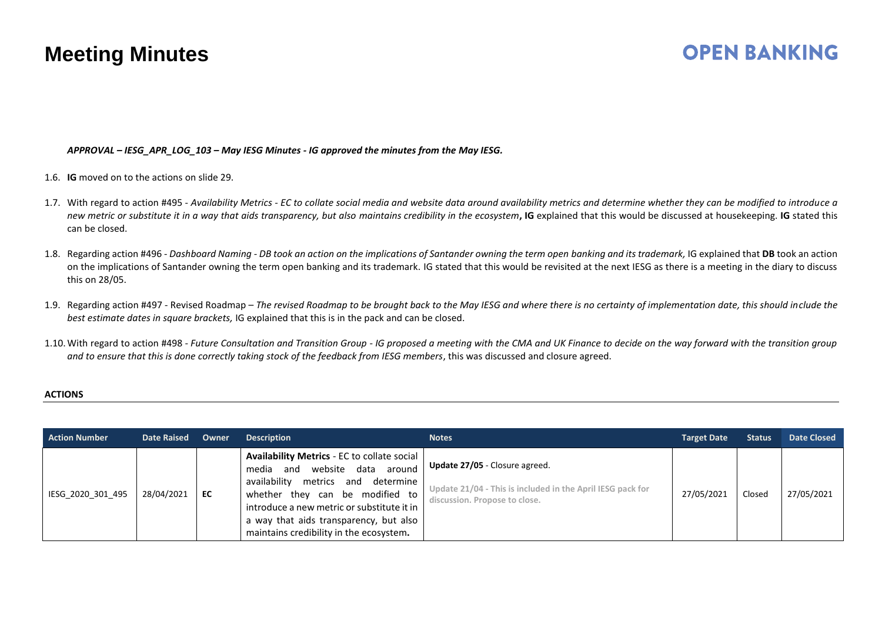### **OPEN BANKING**

*APPROVAL – IESG\_APR\_LOG\_103 – May IESG Minutes - IG approved the minutes from the May IESG.*

- 1.6. **IG** moved on to the actions on slide 29.
- 1.7. With regard to action #495 *Availability Metrics - EC to collate social media and website data around availability metrics and determine whether they can be modified to introduce a new metric or substitute it in a way that aids transparency, but also maintains credibility in the ecosystem***, IG** explained that this would be discussed at housekeeping. **IG** stated this can be closed.
- 1.8. Regarding action #496 *Dashboard Naming - DB took an action on the implications of Santander owning the term open banking and its trademark,* IG explained that **DB** took an action on the implications of Santander owning the term open banking and its trademark. IG stated that this would be revisited at the next IESG as there is a meeting in the diary to discuss this on 28/05.
- 1.9. Regarding action #497 Revised Roadmap *The revised Roadmap to be brought back to the May IESG and where there is no certainty of implementation date, this should include the best estimate dates in square brackets,* IG explained that this is in the pack and can be closed.
- 1.10.With regard to action #498 *- Future Consultation and Transition Group - IG proposed a meeting with the CMA and UK Finance to decide on the way forward with the transition group and to ensure that this is done correctly taking stock of the feedback from IESG members*, this was discussed and closure agreed.

#### **ACTIONS**

| <b>Action Number</b> | <b>Date Raised</b> | Owner | <b>Description</b>                                                                                                                                                                                                                                                                                       | <b>Notes</b>                                                                                                                         | <b>Target Date</b> | <b>Status</b> | <b>Date Closed</b> |
|----------------------|--------------------|-------|----------------------------------------------------------------------------------------------------------------------------------------------------------------------------------------------------------------------------------------------------------------------------------------------------------|--------------------------------------------------------------------------------------------------------------------------------------|--------------------|---------------|--------------------|
| IESG 2020 301 495    | 28/04/2021         | EC    | <b>Availability Metrics - EC to collate social</b><br>and website data around<br>media<br>availability<br>determine<br>metrics and<br>whether they can be modified to<br>introduce a new metric or substitute it in<br>a way that aids transparency, but also<br>maintains credibility in the ecosystem. | <b>Update 27/05</b> - Closure agreed.<br>Update 21/04 - This is included in the April IESG pack for<br>discussion. Propose to close. | 27/05/2021         | Closed        | 27/05/2021         |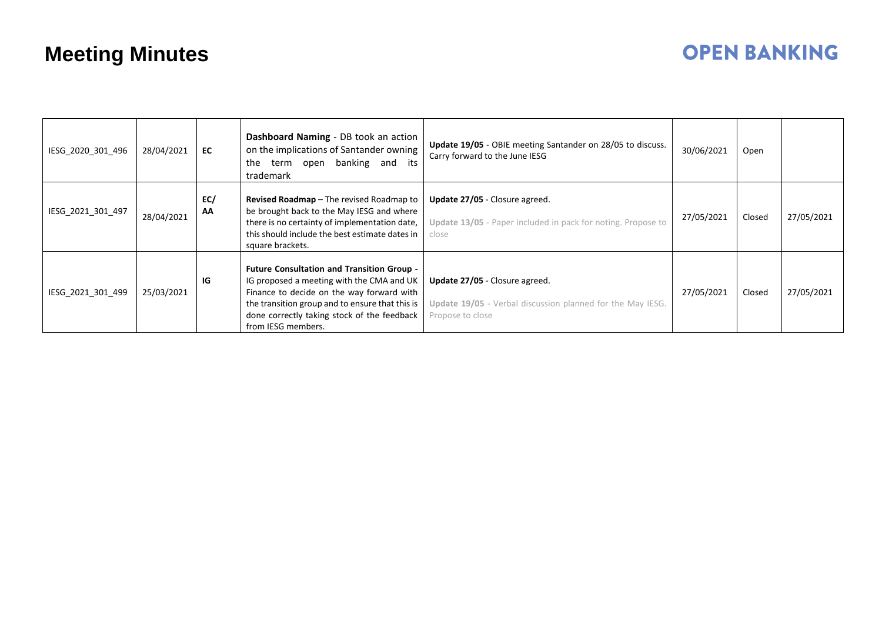## **OPEN BANKING**

| IESG_2020_301_496 | 28/04/2021 | EC        | Dashboard Naming - DB took an action<br>on the implications of Santander owning<br>banking and its<br>the<br>term open<br>trademark                                                                                                                                 | Update 19/05 - OBIE meeting Santander on 28/05 to discuss.<br>Carry forward to the June IESG                     | 30/06/2021 | Open   |            |
|-------------------|------------|-----------|---------------------------------------------------------------------------------------------------------------------------------------------------------------------------------------------------------------------------------------------------------------------|------------------------------------------------------------------------------------------------------------------|------------|--------|------------|
| IESG_2021_301_497 | 28/04/2021 | EC/<br>AA | <b>Revised Roadmap</b> - The revised Roadmap to<br>be brought back to the May IESG and where<br>there is no certainty of implementation date,<br>this should include the best estimate dates in<br>square brackets.                                                 | Update 27/05 - Closure agreed.<br>Update 13/05 - Paper included in pack for noting. Propose to<br>close          | 27/05/2021 | Closed | 27/05/2021 |
| IESG_2021_301_499 | 25/03/2021 | IG        | <b>Future Consultation and Transition Group -</b><br>IG proposed a meeting with the CMA and UK<br>Finance to decide on the way forward with<br>the transition group and to ensure that this is<br>done correctly taking stock of the feedback<br>from IESG members. | Update 27/05 - Closure agreed.<br>Update 19/05 - Verbal discussion planned for the May IESG.<br>Propose to close | 27/05/2021 | Closed | 27/05/2021 |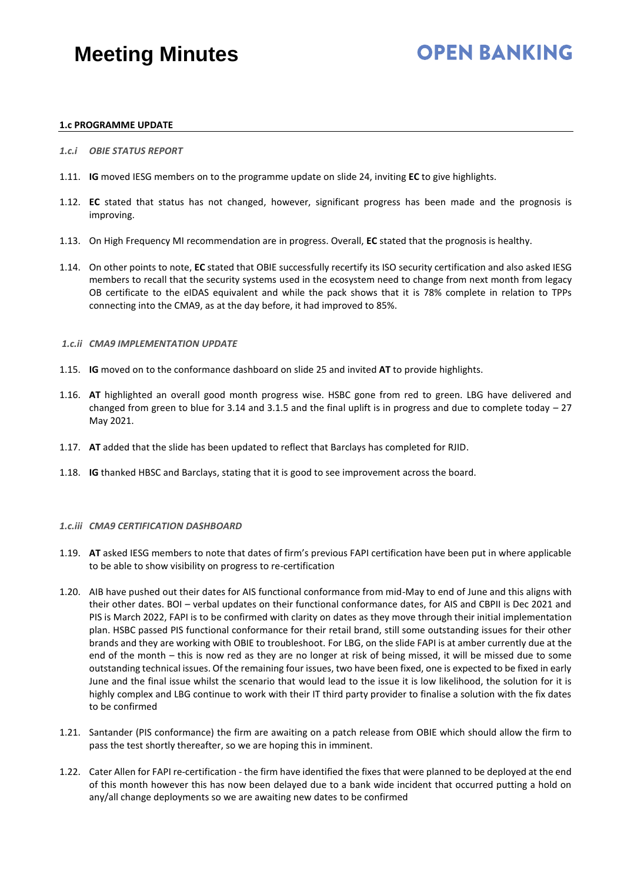## **OPEN BANKING**

### **1.c PROGRAMME UPDATE**

- *1.c.i OBIE STATUS REPORT*
- 1.11. **IG** moved IESG members on to the programme update on slide 24, inviting **EC** to give highlights.
- 1.12. **EC** stated that status has not changed, however, significant progress has been made and the prognosis is improving.
- 1.13. On High Frequency MI recommendation are in progress. Overall, **EC** stated that the prognosis is healthy.
- 1.14. On other points to note, **EC** stated that OBIE successfully recertify its ISO security certification and also asked IESG members to recall that the security systems used in the ecosystem need to change from next month from legacy OB certificate to the eIDAS equivalent and while the pack shows that it is 78% complete in relation to TPPs connecting into the CMA9, as at the day before, it had improved to 85%.

### *1.c.ii CMA9 IMPLEMENTATION UPDATE*

- 1.15. **IG** moved on to the conformance dashboard on slide 25 and invited **AT** to provide highlights.
- 1.16. **AT** highlighted an overall good month progress wise. HSBC gone from red to green. LBG have delivered and changed from green to blue for 3.14 and 3.1.5 and the final uplift is in progress and due to complete today  $-27$ May 2021.
- 1.17. **AT** added that the slide has been updated to reflect that Barclays has completed for RJID.
- 1.18. **IG** thanked HBSC and Barclays, stating that it is good to see improvement across the board.

### *1.c.iii CMA9 CERTIFICATION DASHBOARD*

- 1.19. **AT** asked IESG members to note that dates of firm's previous FAPI certification have been put in where applicable to be able to show visibility on progress to re-certification
- 1.20. AIB have pushed out their dates for AIS functional conformance from mid-May to end of June and this aligns with their other dates. BOI – verbal updates on their functional conformance dates, for AIS and CBPII is Dec 2021 and PIS is March 2022, FAPI is to be confirmed with clarity on dates as they move through their initial implementation plan. HSBC passed PIS functional conformance for their retail brand, still some outstanding issues for their other brands and they are working with OBIE to troubleshoot. For LBG, on the slide FAPI is at amber currently due at the end of the month – this is now red as they are no longer at risk of being missed, it will be missed due to some outstanding technical issues. Of the remaining four issues, two have been fixed, one is expected to be fixed in early June and the final issue whilst the scenario that would lead to the issue it is low likelihood, the solution for it is highly complex and LBG continue to work with their IT third party provider to finalise a solution with the fix dates to be confirmed
- 1.21. Santander (PIS conformance) the firm are awaiting on a patch release from OBIE which should allow the firm to pass the test shortly thereafter, so we are hoping this in imminent.
- 1.22. Cater Allen for FAPI re-certification the firm have identified the fixes that were planned to be deployed at the end of this month however this has now been delayed due to a bank wide incident that occurred putting a hold on any/all change deployments so we are awaiting new dates to be confirmed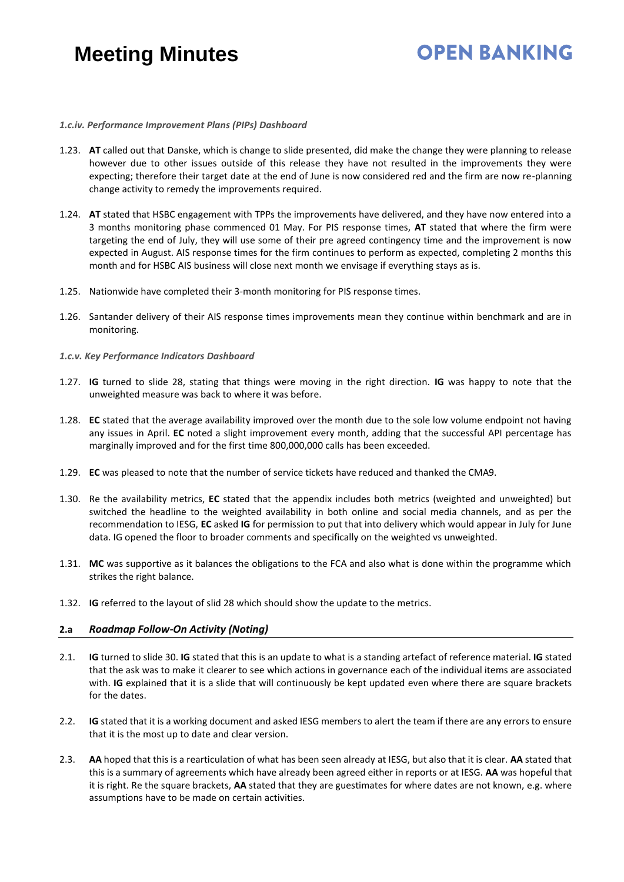## **OPEN BANKING**

### *1.c.iv. Performance Improvement Plans (PIPs) Dashboard*

- 1.23. **AT** called out that Danske, which is change to slide presented, did make the change they were planning to release however due to other issues outside of this release they have not resulted in the improvements they were expecting; therefore their target date at the end of June is now considered red and the firm are now re-planning change activity to remedy the improvements required.
- 1.24. **AT** stated that HSBC engagement with TPPs the improvements have delivered, and they have now entered into a 3 months monitoring phase commenced 01 May. For PIS response times, **AT** stated that where the firm were targeting the end of July, they will use some of their pre agreed contingency time and the improvement is now expected in August. AIS response times for the firm continues to perform as expected, completing 2 months this month and for HSBC AIS business will close next month we envisage if everything stays as is.
- 1.25. Nationwide have completed their 3-month monitoring for PIS response times.
- 1.26. Santander delivery of their AIS response times improvements mean they continue within benchmark and are in monitoring.
- *1.c.v. Key Performance Indicators Dashboard*
- 1.27. **IG** turned to slide 28, stating that things were moving in the right direction. **IG** was happy to note that the unweighted measure was back to where it was before.
- 1.28. **EC** stated that the average availability improved over the month due to the sole low volume endpoint not having any issues in April. **EC** noted a slight improvement every month, adding that the successful API percentage has marginally improved and for the first time 800,000,000 calls has been exceeded.
- 1.29. **EC** was pleased to note that the number of service tickets have reduced and thanked the CMA9.
- 1.30. Re the availability metrics, **EC** stated that the appendix includes both metrics (weighted and unweighted) but switched the headline to the weighted availability in both online and social media channels, and as per the recommendation to IESG, **EC** asked **IG** for permission to put that into delivery which would appear in July for June data. IG opened the floor to broader comments and specifically on the weighted vs unweighted.
- 1.31. **MC** was supportive as it balances the obligations to the FCA and also what is done within the programme which strikes the right balance.
- 1.32. **IG** referred to the layout of slid 28 which should show the update to the metrics.

### **2.a** *Roadmap Follow-On Activity (Noting)*

- 2.1. **IG** turned to slide 30. **IG** stated that this is an update to what is a standing artefact of reference material. **IG** stated that the ask was to make it clearer to see which actions in governance each of the individual items are associated with. **IG** explained that it is a slide that will continuously be kept updated even where there are square brackets for the dates.
- 2.2. **IG** stated that it is a working document and asked IESG members to alert the team if there are any errors to ensure that it is the most up to date and clear version.
- 2.3. **AA** hoped that this is a rearticulation of what has been seen already at IESG, but also that it is clear. **AA** stated that this is a summary of agreements which have already been agreed either in reports or at IESG. **AA** was hopeful that it is right. Re the square brackets, **AA** stated that they are guestimates for where dates are not known, e.g. where assumptions have to be made on certain activities.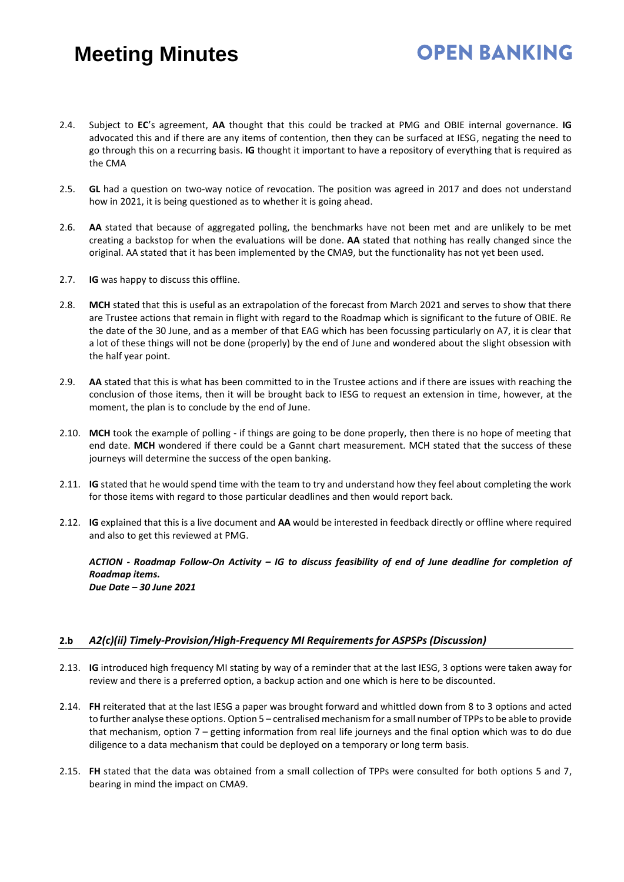## **OPEN BANKING**

- 2.4. Subject to **EC**'s agreement, **AA** thought that this could be tracked at PMG and OBIE internal governance. **IG** advocated this and if there are any items of contention, then they can be surfaced at IESG, negating the need to go through this on a recurring basis. **IG** thought it important to have a repository of everything that is required as the CMA
- 2.5. **GL** had a question on two-way notice of revocation. The position was agreed in 2017 and does not understand how in 2021, it is being questioned as to whether it is going ahead.
- 2.6. **AA** stated that because of aggregated polling, the benchmarks have not been met and are unlikely to be met creating a backstop for when the evaluations will be done. **AA** stated that nothing has really changed since the original. AA stated that it has been implemented by the CMA9, but the functionality has not yet been used.
- 2.7. **IG** was happy to discuss this offline.
- 2.8. **MCH** stated that this is useful as an extrapolation of the forecast from March 2021 and serves to show that there are Trustee actions that remain in flight with regard to the Roadmap which is significant to the future of OBIE. Re the date of the 30 June, and as a member of that EAG which has been focussing particularly on A7, it is clear that a lot of these things will not be done (properly) by the end of June and wondered about the slight obsession with the half year point.
- 2.9. **AA** stated that this is what has been committed to in the Trustee actions and if there are issues with reaching the conclusion of those items, then it will be brought back to IESG to request an extension in time, however, at the moment, the plan is to conclude by the end of June.
- 2.10. **MCH** took the example of polling if things are going to be done properly, then there is no hope of meeting that end date. **MCH** wondered if there could be a Gannt chart measurement. MCH stated that the success of these journeys will determine the success of the open banking.
- 2.11. **IG** stated that he would spend time with the team to try and understand how they feel about completing the work for those items with regard to those particular deadlines and then would report back.
- 2.12. **IG** explained that this is a live document and **AA** would be interested in feedback directly or offline where required and also to get this reviewed at PMG.

*ACTION - Roadmap Follow-On Activity – IG to discuss feasibility of end of June deadline for completion of Roadmap items. Due Date – 30 June 2021* 

### **2.b** *A2(c)(ii) Timely-Provision/High-Frequency MI Requirements for ASPSPs (Discussion)*

- 2.13. **IG** introduced high frequency MI stating by way of a reminder that at the last IESG, 3 options were taken away for review and there is a preferred option, a backup action and one which is here to be discounted.
- 2.14. **FH** reiterated that at the last IESG a paper was brought forward and whittled down from 8 to 3 options and acted to further analyse these options. Option 5 – centralised mechanism for a small number of TPPs to be able to provide that mechanism, option 7 – getting information from real life journeys and the final option which was to do due diligence to a data mechanism that could be deployed on a temporary or long term basis.
- 2.15. **FH** stated that the data was obtained from a small collection of TPPs were consulted for both options 5 and 7, bearing in mind the impact on CMA9.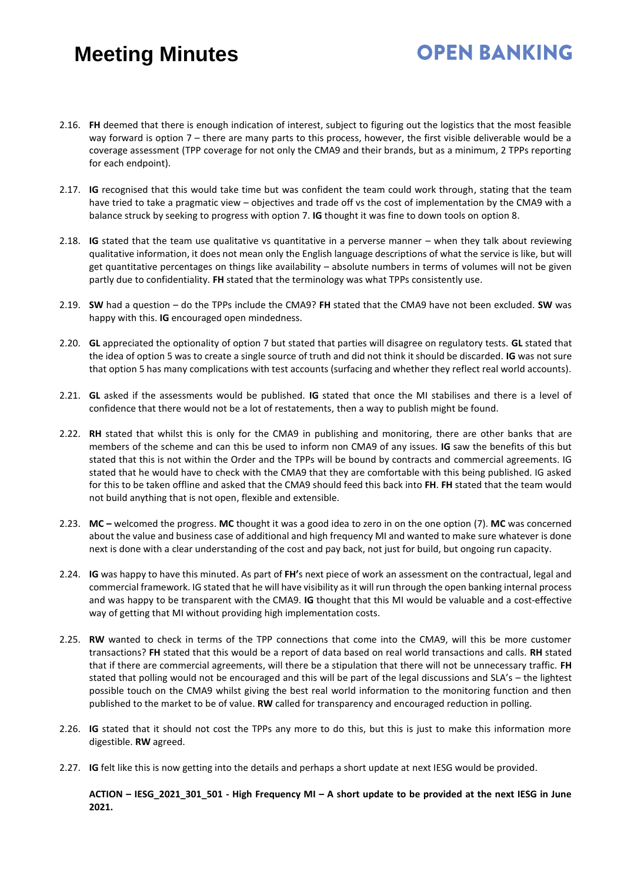## **OPEN BANKING**

- 2.16. **FH** deemed that there is enough indication of interest, subject to figuring out the logistics that the most feasible way forward is option 7 – there are many parts to this process, however, the first visible deliverable would be a coverage assessment (TPP coverage for not only the CMA9 and their brands, but as a minimum, 2 TPPs reporting for each endpoint).
- 2.17. **IG** recognised that this would take time but was confident the team could work through, stating that the team have tried to take a pragmatic view – objectives and trade off vs the cost of implementation by the CMA9 with a balance struck by seeking to progress with option 7. **IG** thought it was fine to down tools on option 8.
- 2.18. **IG** stated that the team use qualitative vs quantitative in a perverse manner when they talk about reviewing qualitative information, it does not mean only the English language descriptions of what the service is like, but will get quantitative percentages on things like availability – absolute numbers in terms of volumes will not be given partly due to confidentiality. **FH** stated that the terminology was what TPPs consistently use.
- 2.19. **SW** had a question do the TPPs include the CMA9? **FH** stated that the CMA9 have not been excluded. **SW** was happy with this. **IG** encouraged open mindedness.
- 2.20. **GL** appreciated the optionality of option 7 but stated that parties will disagree on regulatory tests. **GL** stated that the idea of option 5 was to create a single source of truth and did not think it should be discarded. **IG** was not sure that option 5 has many complications with test accounts (surfacing and whether they reflect real world accounts).
- 2.21. **GL** asked if the assessments would be published. **IG** stated that once the MI stabilises and there is a level of confidence that there would not be a lot of restatements, then a way to publish might be found.
- 2.22. **RH** stated that whilst this is only for the CMA9 in publishing and monitoring, there are other banks that are members of the scheme and can this be used to inform non CMA9 of any issues. **IG** saw the benefits of this but stated that this is not within the Order and the TPPs will be bound by contracts and commercial agreements. IG stated that he would have to check with the CMA9 that they are comfortable with this being published. IG asked for this to be taken offline and asked that the CMA9 should feed this back into **FH**. **FH** stated that the team would not build anything that is not open, flexible and extensible.
- 2.23. **MC –** welcomed the progress. **MC** thought it was a good idea to zero in on the one option (7). **MC** was concerned about the value and business case of additional and high frequency MI and wanted to make sure whatever is done next is done with a clear understanding of the cost and pay back, not just for build, but ongoing run capacity.
- 2.24. **IG** was happy to have this minuted. As part of **FH'**s next piece of work an assessment on the contractual, legal and commercial framework. IG stated that he will have visibility as it will run through the open banking internal process and was happy to be transparent with the CMA9. **IG** thought that this MI would be valuable and a cost-effective way of getting that MI without providing high implementation costs.
- 2.25. **RW** wanted to check in terms of the TPP connections that come into the CMA9, will this be more customer transactions? **FH** stated that this would be a report of data based on real world transactions and calls. **RH** stated that if there are commercial agreements, will there be a stipulation that there will not be unnecessary traffic. **FH** stated that polling would not be encouraged and this will be part of the legal discussions and SLA's – the lightest possible touch on the CMA9 whilst giving the best real world information to the monitoring function and then published to the market to be of value. **RW** called for transparency and encouraged reduction in polling.
- 2.26. **IG** stated that it should not cost the TPPs any more to do this, but this is just to make this information more digestible. **RW** agreed.
- 2.27. **IG** felt like this is now getting into the details and perhaps a short update at next IESG would be provided.

**ACTION – IESG\_2021\_301\_501 - High Frequency MI – A short update to be provided at the next IESG in June 2021.**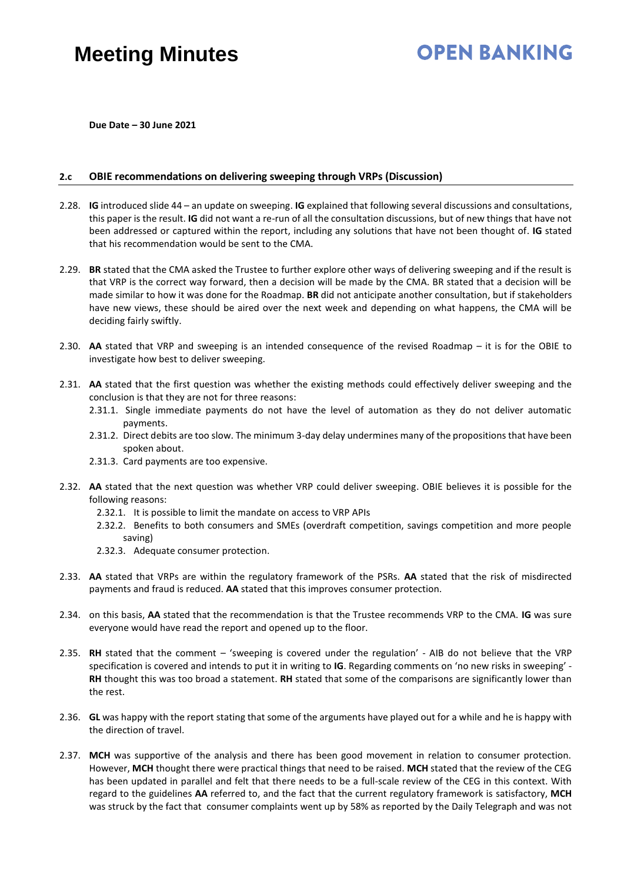## **OPEN BANKING**

**Due Date – 30 June 2021** 

### **2.c OBIE recommendations on delivering sweeping through VRPs (Discussion)**

- 2.28. **IG** introduced slide 44 an update on sweeping. **IG** explained that following several discussions and consultations, this paper is the result. **IG** did not want a re-run of all the consultation discussions, but of new things that have not been addressed or captured within the report, including any solutions that have not been thought of. **IG** stated that his recommendation would be sent to the CMA.
- 2.29. **BR** stated that the CMA asked the Trustee to further explore other ways of delivering sweeping and if the result is that VRP is the correct way forward, then a decision will be made by the CMA. BR stated that a decision will be made similar to how it was done for the Roadmap. **BR** did not anticipate another consultation, but if stakeholders have new views, these should be aired over the next week and depending on what happens, the CMA will be deciding fairly swiftly.
- 2.30. **AA** stated that VRP and sweeping is an intended consequence of the revised Roadmap it is for the OBIE to investigate how best to deliver sweeping.
- 2.31. **AA** stated that the first question was whether the existing methods could effectively deliver sweeping and the conclusion is that they are not for three reasons:
	- 2.31.1. Single immediate payments do not have the level of automation as they do not deliver automatic payments.
	- 2.31.2. Direct debits are too slow. The minimum 3-day delay undermines many of the propositions that have been spoken about.
	- 2.31.3. Card payments are too expensive.
- 2.32. **AA** stated that the next question was whether VRP could deliver sweeping. OBIE believes it is possible for the following reasons:
	- 2.32.1. It is possible to limit the mandate on access to VRP APIs
	- 2.32.2. Benefits to both consumers and SMEs (overdraft competition, savings competition and more people saving)
	- 2.32.3. Adequate consumer protection.
- 2.33. **AA** stated that VRPs are within the regulatory framework of the PSRs. **AA** stated that the risk of misdirected payments and fraud is reduced. **AA** stated that this improves consumer protection.
- 2.34. on this basis, **AA** stated that the recommendation is that the Trustee recommends VRP to the CMA. **IG** was sure everyone would have read the report and opened up to the floor.
- 2.35. **RH** stated that the comment 'sweeping is covered under the regulation' AIB do not believe that the VRP specification is covered and intends to put it in writing to **IG**. Regarding comments on 'no new risks in sweeping' - **RH** thought this was too broad a statement. **RH** stated that some of the comparisons are significantly lower than the rest.
- 2.36. **GL** was happy with the report stating that some of the arguments have played out for a while and he is happy with the direction of travel.
- 2.37. **MCH** was supportive of the analysis and there has been good movement in relation to consumer protection. However, **MCH** thought there were practical things that need to be raised. **MCH** stated that the review of the CEG has been updated in parallel and felt that there needs to be a full-scale review of the CEG in this context. With regard to the guidelines **AA** referred to, and the fact that the current regulatory framework is satisfactory, **MCH** was struck by the fact that consumer complaints went up by 58% as reported by the Daily Telegraph and was not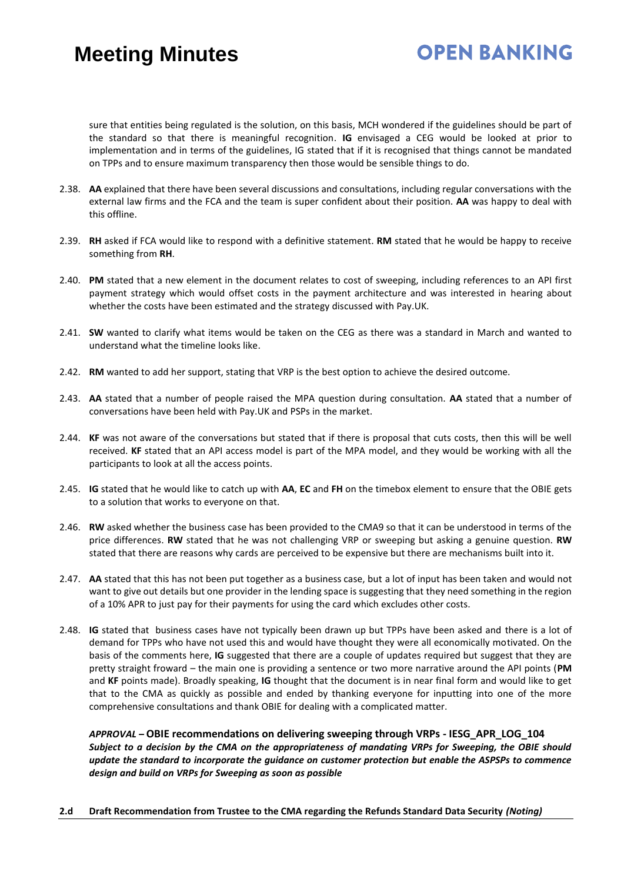## **OPEN BANKING**

sure that entities being regulated is the solution, on this basis, MCH wondered if the guidelines should be part of the standard so that there is meaningful recognition. **IG** envisaged a CEG would be looked at prior to implementation and in terms of the guidelines, IG stated that if it is recognised that things cannot be mandated on TPPs and to ensure maximum transparency then those would be sensible things to do.

- 2.38. **AA** explained that there have been several discussions and consultations, including regular conversations with the external law firms and the FCA and the team is super confident about their position. **AA** was happy to deal with this offline.
- 2.39. **RH** asked if FCA would like to respond with a definitive statement. **RM** stated that he would be happy to receive something from **RH**.
- 2.40. **PM** stated that a new element in the document relates to cost of sweeping, including references to an API first payment strategy which would offset costs in the payment architecture and was interested in hearing about whether the costs have been estimated and the strategy discussed with Pay.UK.
- 2.41. **SW** wanted to clarify what items would be taken on the CEG as there was a standard in March and wanted to understand what the timeline looks like.
- 2.42. **RM** wanted to add her support, stating that VRP is the best option to achieve the desired outcome.
- 2.43. **AA** stated that a number of people raised the MPA question during consultation. **AA** stated that a number of conversations have been held with Pay.UK and PSPs in the market.
- 2.44. **KF** was not aware of the conversations but stated that if there is proposal that cuts costs, then this will be well received. **KF** stated that an API access model is part of the MPA model, and they would be working with all the participants to look at all the access points.
- 2.45. **IG** stated that he would like to catch up with **AA**, **EC** and **FH** on the timebox element to ensure that the OBIE gets to a solution that works to everyone on that.
- 2.46. **RW** asked whether the business case has been provided to the CMA9 so that it can be understood in terms of the price differences. **RW** stated that he was not challenging VRP or sweeping but asking a genuine question. **RW** stated that there are reasons why cards are perceived to be expensive but there are mechanisms built into it.
- 2.47. **AA** stated that this has not been put together as a business case, but a lot of input has been taken and would not want to give out details but one provider in the lending space is suggesting that they need something in the region of a 10% APR to just pay for their payments for using the card which excludes other costs.
- 2.48. **IG** stated that business cases have not typically been drawn up but TPPs have been asked and there is a lot of demand for TPPs who have not used this and would have thought they were all economically motivated. On the basis of the comments here, **IG** suggested that there are a couple of updates required but suggest that they are pretty straight froward – the main one is providing a sentence or two more narrative around the API points (**PM** and **KF** points made). Broadly speaking, **IG** thought that the document is in near final form and would like to get that to the CMA as quickly as possible and ended by thanking everyone for inputting into one of the more comprehensive consultations and thank OBIE for dealing with a complicated matter.

*APPROVAL –* **OBIE recommendations on delivering sweeping through VRPs - IESG\_APR\_LOG\_104** *Subject to a decision by the CMA on the appropriateness of mandating VRPs for Sweeping, the OBIE should update the standard to incorporate the guidance on customer protection but enable the ASPSPs to commence design and build on VRPs for Sweeping as soon as possible*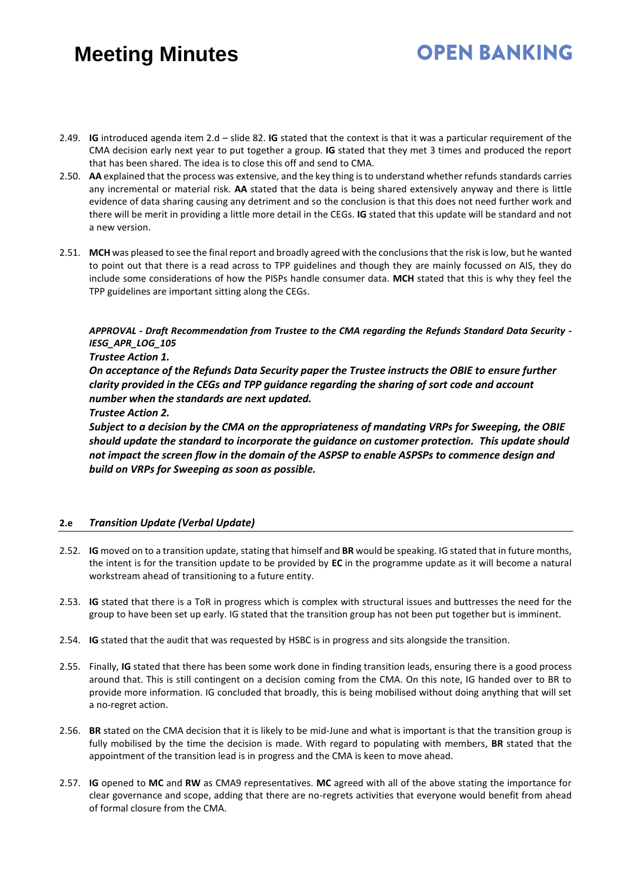2.49. **IG** introduced agenda item 2.d – slide 82. **IG** stated that the context is that it was a particular requirement of the CMA decision early next year to put together a group. **IG** stated that they met 3 times and produced the report that has been shared. The idea is to close this off and send to CMA.

**OPEN BANKING** 

- 2.50. **AA** explained that the process was extensive, and the key thing is to understand whether refunds standards carries any incremental or material risk. **AA** stated that the data is being shared extensively anyway and there is little evidence of data sharing causing any detriment and so the conclusion is that this does not need further work and there will be merit in providing a little more detail in the CEGs. **IG** stated that this update will be standard and not a new version.
- 2.51. **MCH** was pleased to see the final report and broadly agreed with the conclusions that the risk is low, but he wanted to point out that there is a read across to TPP guidelines and though they are mainly focussed on AIS, they do include some considerations of how the PISPs handle consumer data. **MCH** stated that this is why they feel the TPP guidelines are important sitting along the CEGs.

*APPROVAL - Draft Recommendation from Trustee to the CMA regarding the Refunds Standard Data Security - IESG\_APR\_LOG\_105*

### *Trustee Action 1.*

*On acceptance of the Refunds Data Security paper the Trustee instructs the OBIE to ensure further clarity provided in the CEGs and TPP guidance regarding the sharing of sort code and account number when the standards are next updated.*

### *Trustee Action 2.*

*Subject to a decision by the CMA on the appropriateness of mandating VRPs for Sweeping, the OBIE should update the standard to incorporate the guidance on customer protection. This update should not impact the screen flow in the domain of the ASPSP to enable ASPSPs to commence design and build on VRPs for Sweeping as soon as possible.*

### **2.e** *Transition Update (Verbal Update)*

- 2.52. **IG** moved on to a transition update, stating that himself and **BR** would be speaking. IG stated that in future months, the intent is for the transition update to be provided by **EC** in the programme update as it will become a natural workstream ahead of transitioning to a future entity.
- 2.53. **IG** stated that there is a ToR in progress which is complex with structural issues and buttresses the need for the group to have been set up early. IG stated that the transition group has not been put together but is imminent.
- 2.54. **IG** stated that the audit that was requested by HSBC is in progress and sits alongside the transition.
- 2.55. Finally, **IG** stated that there has been some work done in finding transition leads, ensuring there is a good process around that. This is still contingent on a decision coming from the CMA. On this note, IG handed over to BR to provide more information. IG concluded that broadly, this is being mobilised without doing anything that will set a no-regret action.
- 2.56. **BR** stated on the CMA decision that it is likely to be mid-June and what is important is that the transition group is fully mobilised by the time the decision is made. With regard to populating with members, **BR** stated that the appointment of the transition lead is in progress and the CMA is keen to move ahead.
- 2.57. **IG** opened to **MC** and **RW** as CMA9 representatives. **MC** agreed with all of the above stating the importance for clear governance and scope, adding that there are no-regrets activities that everyone would benefit from ahead of formal closure from the CMA.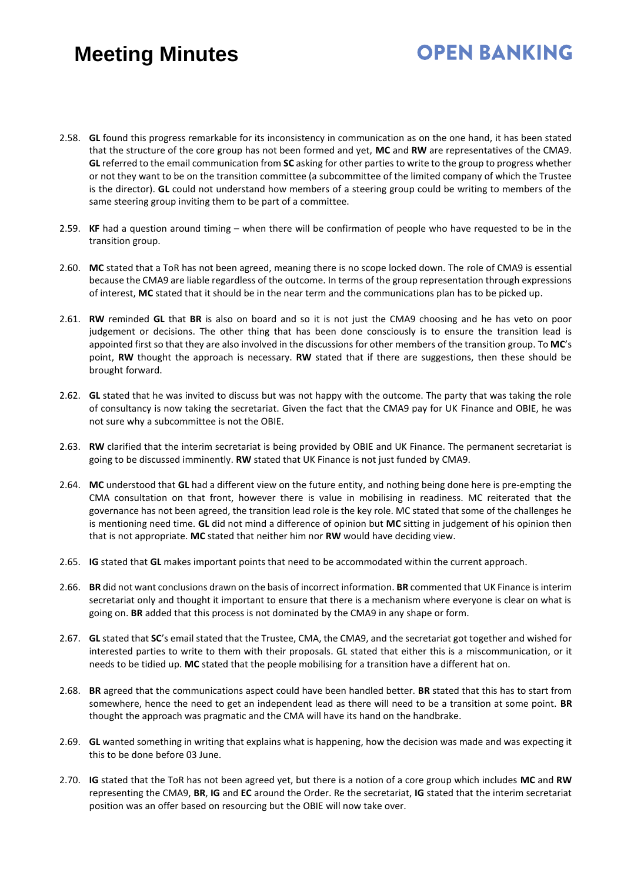### 2.58. **GL** found this progress remarkable for its inconsistency in communication as on the one hand, it has been stated that the structure of the core group has not been formed and yet, **MC** and **RW** are representatives of the CMA9. **GL** referred to the email communication from **SC** asking for other parties to write to the group to progress whether or not they want to be on the transition committee (a subcommittee of the limited company of which the Trustee is the director). **GL** could not understand how members of a steering group could be writing to members of the same steering group inviting them to be part of a committee.

**OPEN BANKING** 

- 2.59. **KF** had a question around timing when there will be confirmation of people who have requested to be in the transition group.
- 2.60. **MC** stated that a ToR has not been agreed, meaning there is no scope locked down. The role of CMA9 is essential because the CMA9 are liable regardless of the outcome. In terms of the group representation through expressions of interest, **MC** stated that it should be in the near term and the communications plan has to be picked up.
- 2.61. **RW** reminded **GL** that **BR** is also on board and so it is not just the CMA9 choosing and he has veto on poor judgement or decisions. The other thing that has been done consciously is to ensure the transition lead is appointed first so that they are also involved in the discussions for other members of the transition group. To **MC**'s point, **RW** thought the approach is necessary. **RW** stated that if there are suggestions, then these should be brought forward.
- 2.62. **GL** stated that he was invited to discuss but was not happy with the outcome. The party that was taking the role of consultancy is now taking the secretariat. Given the fact that the CMA9 pay for UK Finance and OBIE, he was not sure why a subcommittee is not the OBIE.
- 2.63. **RW** clarified that the interim secretariat is being provided by OBIE and UK Finance. The permanent secretariat is going to be discussed imminently. **RW** stated that UK Finance is not just funded by CMA9.
- 2.64. **MC** understood that **GL** had a different view on the future entity, and nothing being done here is pre-empting the CMA consultation on that front, however there is value in mobilising in readiness. MC reiterated that the governance has not been agreed, the transition lead role is the key role. MC stated that some of the challenges he is mentioning need time. **GL** did not mind a difference of opinion but **MC** sitting in judgement of his opinion then that is not appropriate. **MC** stated that neither him nor **RW** would have deciding view.
- 2.65. **IG** stated that **GL** makes important points that need to be accommodated within the current approach.
- 2.66. **BR** did not want conclusions drawn on the basis of incorrect information. **BR** commented that UK Finance is interim secretariat only and thought it important to ensure that there is a mechanism where everyone is clear on what is going on. **BR** added that this process is not dominated by the CMA9 in any shape or form.
- 2.67. **GL** stated that **SC**'s email stated that the Trustee, CMA, the CMA9, and the secretariat got together and wished for interested parties to write to them with their proposals. GL stated that either this is a miscommunication, or it needs to be tidied up. **MC** stated that the people mobilising for a transition have a different hat on.
- 2.68. **BR** agreed that the communications aspect could have been handled better. **BR** stated that this has to start from somewhere, hence the need to get an independent lead as there will need to be a transition at some point. **BR** thought the approach was pragmatic and the CMA will have its hand on the handbrake.
- 2.69. **GL** wanted something in writing that explains what is happening, how the decision was made and was expecting it this to be done before 03 June.
- 2.70. **IG** stated that the ToR has not been agreed yet, but there is a notion of a core group which includes **MC** and **RW** representing the CMA9, **BR**, **IG** and **EC** around the Order. Re the secretariat, **IG** stated that the interim secretariat position was an offer based on resourcing but the OBIE will now take over.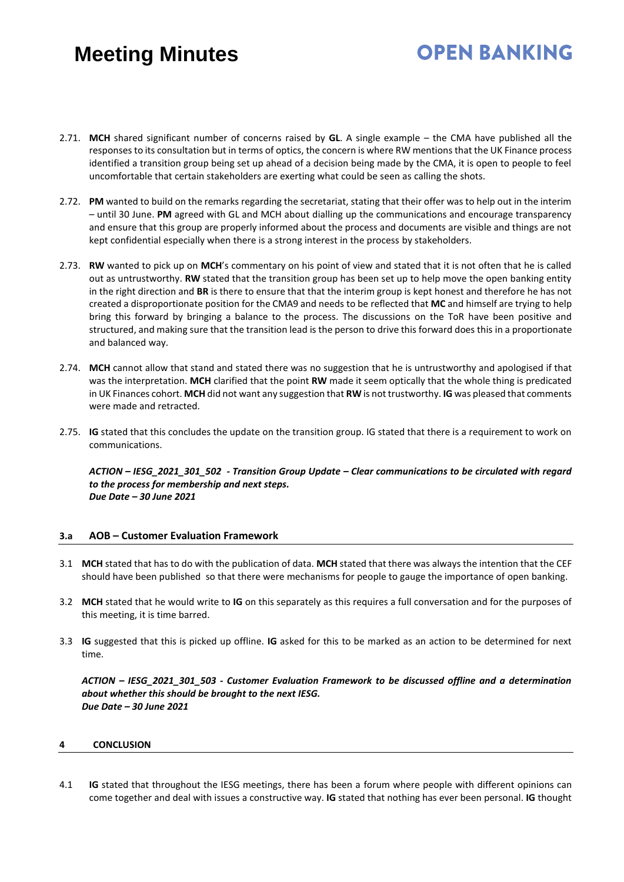## **OPEN BANKING**

- 2.71. **MCH** shared significant number of concerns raised by **GL**. A single example the CMA have published all the responses to its consultation but in terms of optics, the concern is where RW mentions that the UK Finance process identified a transition group being set up ahead of a decision being made by the CMA, it is open to people to feel uncomfortable that certain stakeholders are exerting what could be seen as calling the shots.
- 2.72. **PM** wanted to build on the remarks regarding the secretariat, stating that their offer was to help out in the interim – until 30 June. **PM** agreed with GL and MCH about dialling up the communications and encourage transparency and ensure that this group are properly informed about the process and documents are visible and things are not kept confidential especially when there is a strong interest in the process by stakeholders.
- 2.73. **RW** wanted to pick up on **MCH**'s commentary on his point of view and stated that it is not often that he is called out as untrustworthy. **RW** stated that the transition group has been set up to help move the open banking entity in the right direction and **BR** is there to ensure that that the interim group is kept honest and therefore he has not created a disproportionate position for the CMA9 and needs to be reflected that **MC** and himself are trying to help bring this forward by bringing a balance to the process. The discussions on the ToR have been positive and structured, and making sure that the transition lead is the person to drive this forward does this in a proportionate and balanced way.
- 2.74. **MCH** cannot allow that stand and stated there was no suggestion that he is untrustworthy and apologised if that was the interpretation. **MCH** clarified that the point **RW** made it seem optically that the whole thing is predicated in UK Finances cohort. **MCH** did not want any suggestion that **RW** is not trustworthy. **IG** was pleased that comments were made and retracted.
- 2.75. **IG** stated that this concludes the update on the transition group. IG stated that there is a requirement to work on communications.

*ACTION – IESG\_2021\_301\_502 - Transition Group Update – Clear communications to be circulated with regard to the process for membership and next steps. Due Date – 30 June 2021* 

### **3.a AOB – Customer Evaluation Framework**

- 3.1 **MCH** stated that has to do with the publication of data. **MCH** stated that there was always the intention that the CEF should have been published so that there were mechanisms for people to gauge the importance of open banking.
- 3.2 **MCH** stated that he would write to **IG** on this separately as this requires a full conversation and for the purposes of this meeting, it is time barred.
- 3.3 **IG** suggested that this is picked up offline. **IG** asked for this to be marked as an action to be determined for next time.

*ACTION – IESG\_2021\_301\_503 - Customer Evaluation Framework to be discussed offline and a determination about whether this should be brought to the next IESG. Due Date – 30 June 2021* 

#### **4 CONCLUSION**

4.1 **IG** stated that throughout the IESG meetings, there has been a forum where people with different opinions can come together and deal with issues a constructive way. **IG** stated that nothing has ever been personal. **IG** thought